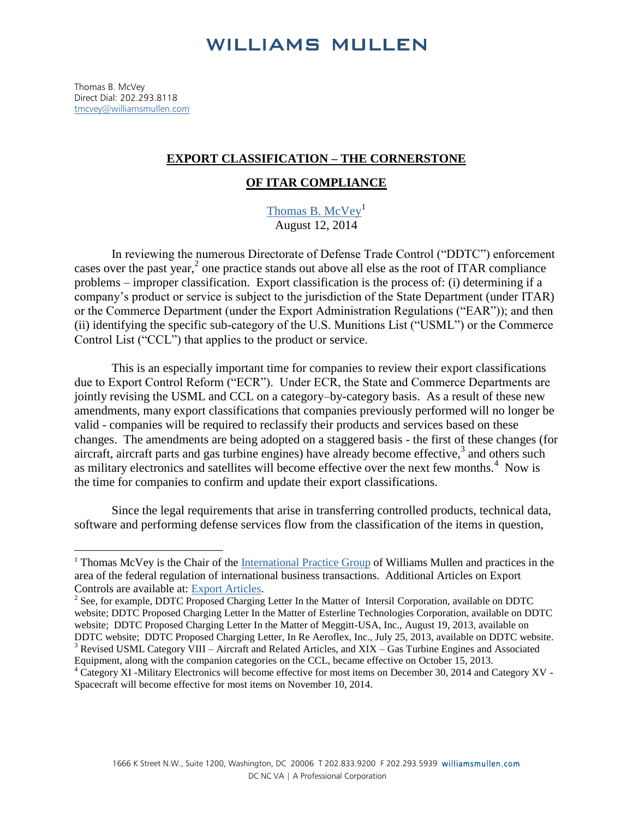## **WILLIAMS MULLEN**

Thomas B. McVey Direct Dial: 202.293.8118 [tmcvey@williamsmullen.com](mailto:tmcvey@williamsmullen.com)

 $\overline{a}$ 

## **EXPORT CLASSIFICATION – THE CORNERSTONE**

## **OF ITAR COMPLIANCE**

[Thomas B. McVey](http://www.williamsmullen.com/people/thomas-b-mcvey)<sup>1</sup> August 12, 2014

In reviewing the numerous Directorate of Defense Trade Control ("DDTC") enforcement cases over the past year,<sup>2</sup> one practice stands out above all else as the root of ITAR compliance problems – improper classification. Export classification is the process of: (i) determining if a company's product or service is subject to the jurisdiction of the State Department (under ITAR) or the Commerce Department (under the Export Administration Regulations ("EAR")); and then (ii) identifying the specific sub-category of the U.S. Munitions List ("USML") or the Commerce Control List ("CCL") that applies to the product or service.

This is an especially important time for companies to review their export classifications due to Export Control Reform ("ECR"). Under ECR, the State and Commerce Departments are jointly revising the USML and CCL on a category–by-category basis. As a result of these new amendments, many export classifications that companies previously performed will no longer be valid - companies will be required to reclassify their products and services based on these changes. The amendments are being adopted on a staggered basis - the first of these changes (for aircraft, aircraft parts and gas turbine engines) have already become effective, $3$  and others such as military electronics and satellites will become effective over the next few months.<sup>4</sup> Now is the time for companies to confirm and update their export classifications.

Since the legal requirements that arise in transferring controlled products, technical data, software and performing defense services flow from the classification of the items in question,

<sup>&</sup>lt;sup>1</sup> Thomas McVey is the Chair of the [International Practice Group](http://www.williamsmullen.com/practice/itar-export-controls-ofac-sanctions) of Williams Mullen and practices in the area of the federal regulation of international business transactions. Additional Articles on Export Controls are available at: [Export Articles.](http://www.williamsmullen.com/practice/itar-export-controls-ofac-sanctions)

 $2^2$  See, for example, DDTC Proposed Charging Letter In the Matter of Intersil Corporation, available on DDTC website; DDTC Proposed Charging Letter In the Matter of Esterline Technologies Corporation, available on DDTC website; DDTC Proposed Charging Letter In the Matter of Meggitt-USA, Inc., August 19, 2013, available on DDTC website; DDTC Proposed Charging Letter, In Re Aeroflex, Inc., July 25, 2013, available on DDTC website. <sup>3</sup> Revised USML Category VIII – Aircraft and Related Articles, and XIX – Gas Turbine Engines and Associated

Equipment, along with the companion categories on the CCL, became effective on October 15, 2013.

<sup>4</sup> Category XI -Military Electronics will become effective for most items on December 30, 2014 and Category XV - Spacecraft will become effective for most items on November 10, 2014.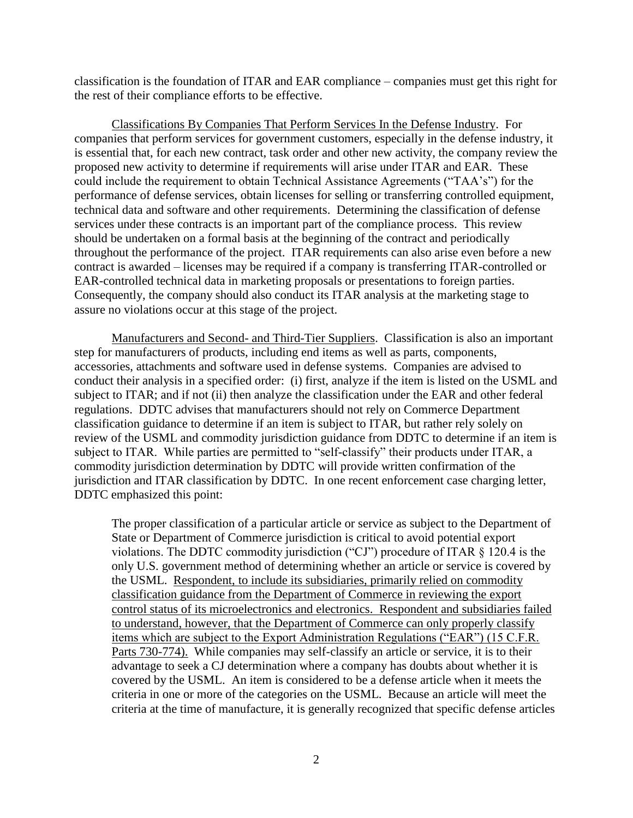classification is the foundation of ITAR and EAR compliance – companies must get this right for the rest of their compliance efforts to be effective.

Classifications By Companies That Perform Services In the Defense Industry. For companies that perform services for government customers, especially in the defense industry, it is essential that, for each new contract, task order and other new activity, the company review the proposed new activity to determine if requirements will arise under ITAR and EAR. These could include the requirement to obtain Technical Assistance Agreements ("TAA's") for the performance of defense services, obtain licenses for selling or transferring controlled equipment, technical data and software and other requirements. Determining the classification of defense services under these contracts is an important part of the compliance process. This review should be undertaken on a formal basis at the beginning of the contract and periodically throughout the performance of the project. ITAR requirements can also arise even before a new contract is awarded – licenses may be required if a company is transferring ITAR-controlled or EAR-controlled technical data in marketing proposals or presentations to foreign parties. Consequently, the company should also conduct its ITAR analysis at the marketing stage to assure no violations occur at this stage of the project.

Manufacturers and Second- and Third-Tier Suppliers. Classification is also an important step for manufacturers of products, including end items as well as parts, components, accessories, attachments and software used in defense systems. Companies are advised to conduct their analysis in a specified order: (i) first, analyze if the item is listed on the USML and subject to ITAR; and if not (ii) then analyze the classification under the EAR and other federal regulations. DDTC advises that manufacturers should not rely on Commerce Department classification guidance to determine if an item is subject to ITAR, but rather rely solely on review of the USML and commodity jurisdiction guidance from DDTC to determine if an item is subject to ITAR. While parties are permitted to "self-classify" their products under ITAR, a commodity jurisdiction determination by DDTC will provide written confirmation of the jurisdiction and ITAR classification by DDTC. In one recent enforcement case charging letter, DDTC emphasized this point:

The proper classification of a particular article or service as subject to the Department of State or Department of Commerce jurisdiction is critical to avoid potential export violations. The DDTC commodity jurisdiction ("CJ") procedure of ITAR § 120.4 is the only U.S. government method of determining whether an article or service is covered by the USML. Respondent, to include its subsidiaries, primarily relied on commodity classification guidance from the Department of Commerce in reviewing the export control status of its microelectronics and electronics. Respondent and subsidiaries failed to understand, however, that the Department of Commerce can only properly classify items which are subject to the Export Administration Regulations ("EAR") (15 C.F.R. Parts 730-774). While companies may self-classify an article or service, it is to their advantage to seek a CJ determination where a company has doubts about whether it is covered by the USML. An item is considered to be a defense article when it meets the criteria in one or more of the categories on the USML. Because an article will meet the criteria at the time of manufacture, it is generally recognized that specific defense articles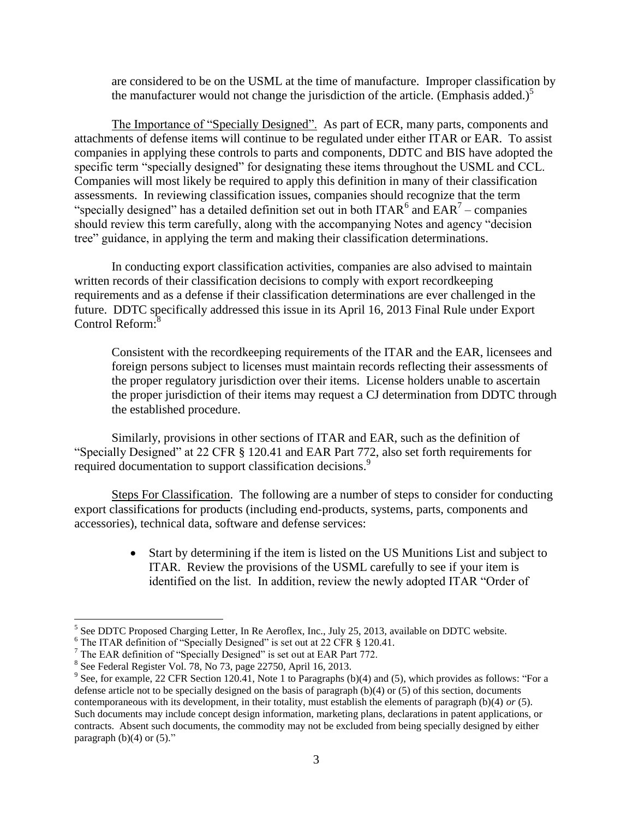are considered to be on the USML at the time of manufacture. Improper classification by the manufacturer would not change the jurisdiction of the article. (Emphasis added.)<sup>5</sup>

The Importance of "Specially Designed". As part of ECR, many parts, components and attachments of defense items will continue to be regulated under either ITAR or EAR. To assist companies in applying these controls to parts and components, DDTC and BIS have adopted the specific term "specially designed" for designating these items throughout the USML and CCL. Companies will most likely be required to apply this definition in many of their classification assessments. In reviewing classification issues, companies should recognize that the term "specially designed" has a detailed definition set out in both ITAR<sup>6</sup> and  $EAR<sup>7</sup>$  – companies should review this term carefully, along with the accompanying Notes and agency "decision tree" guidance, in applying the term and making their classification determinations.

In conducting export classification activities, companies are also advised to maintain written records of their classification decisions to comply with export recordkeeping requirements and as a defense if their classification determinations are ever challenged in the future. DDTC specifically addressed this issue in its April 16, 2013 Final Rule under Export Control Reform:<sup>8</sup>

Consistent with the recordkeeping requirements of the ITAR and the EAR, licensees and foreign persons subject to licenses must maintain records reflecting their assessments of the proper regulatory jurisdiction over their items. License holders unable to ascertain the proper jurisdiction of their items may request a CJ determination from DDTC through the established procedure.

Similarly, provisions in other sections of ITAR and EAR, such as the definition of "Specially Designed" at 22 CFR § 120.41 and EAR Part 772, also set forth requirements for required documentation to support classification decisions.<sup>9</sup>

Steps For Classification. The following are a number of steps to consider for conducting export classifications for products (including end-products, systems, parts, components and accessories), technical data, software and defense services:

> Start by determining if the item is listed on the US Munitions List and subject to ITAR. Review the provisions of the USML carefully to see if your item is identified on the list. In addition, review the newly adopted ITAR "Order of

 $\overline{a}$ 

 $<sup>5</sup>$  See DDTC Proposed Charging Letter, In Re Aeroflex, Inc., July 25, 2013, available on DDTC website.</sup>

<sup>&</sup>lt;sup>6</sup> The ITAR definition of "Specially Designed" is set out at 22 CFR § 120.41.

 $7$  The EAR definition of "Specially Designed" is set out at EAR Part 772.

<sup>8</sup> See Federal Register Vol. 78, No 73, page 22750, April 16, 2013.

 $9$  See, for example, 22 CFR Section 120.41, Note 1 to Paragraphs (b)(4) and (5), which provides as follows: "For a defense article not to be specially designed on the basis of paragraph (b)(4) or (5) of this section, documents contemporaneous with its development, in their totality, must establish the elements of paragraph (b)(4) *or* (5). Such documents may include concept design information, marketing plans, declarations in patent applications, or contracts. Absent such documents, the commodity may not be excluded from being specially designed by either paragraph  $(b)(4)$  or  $(5)$ ."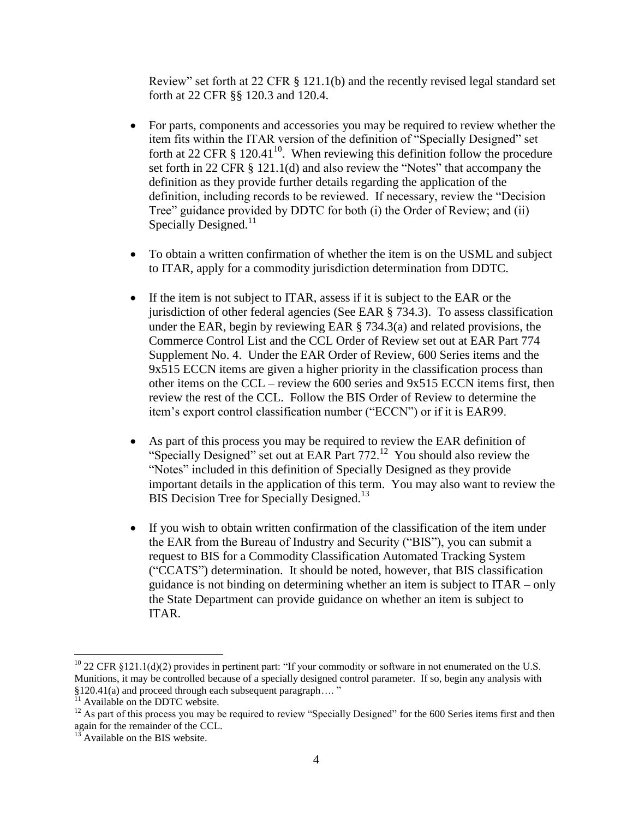Review" set forth at 22 CFR § 121.1(b) and the recently revised legal standard set forth at 22 CFR §§ 120.3 and 120.4.

- For parts, components and accessories you may be required to review whether the item fits within the ITAR version of the definition of "Specially Designed" set forth at 22 CFR  $\S$  120.41<sup>10</sup>. When reviewing this definition follow the procedure set forth in 22 CFR § 121.1(d) and also review the "Notes" that accompany the definition as they provide further details regarding the application of the definition, including records to be reviewed. If necessary, review the "Decision Tree" guidance provided by DDTC for both (i) the Order of Review; and (ii) Specially Designed. $^{11}$
- To obtain a written confirmation of whether the item is on the USML and subject to ITAR, apply for a commodity jurisdiction determination from DDTC.
- If the item is not subject to ITAR, assess if it is subject to the EAR or the jurisdiction of other federal agencies (See EAR § 734.3). To assess classification under the EAR, begin by reviewing EAR § 734.3(a) and related provisions, the Commerce Control List and the CCL Order of Review set out at EAR Part 774 Supplement No. 4. Under the EAR Order of Review, 600 Series items and the 9x515 ECCN items are given a higher priority in the classification process than other items on the CCL – review the 600 series and 9x515 ECCN items first, then review the rest of the CCL. Follow the BIS Order of Review to determine the item's export control classification number ("ECCN") or if it is EAR99.
- As part of this process you may be required to review the EAR definition of "Specially Designed" set out at EAR Part  $772$ <sup>12</sup> You should also review the "Notes" included in this definition of Specially Designed as they provide important details in the application of this term. You may also want to review the BIS Decision Tree for Specially Designed.<sup>13</sup>
- If you wish to obtain written confirmation of the classification of the item under the EAR from the Bureau of Industry and Security ("BIS"), you can submit a request to BIS for a Commodity Classification Automated Tracking System ("CCATS") determination. It should be noted, however, that BIS classification guidance is not binding on determining whether an item is subject to ITAR – only the State Department can provide guidance on whether an item is subject to ITAR.

 $\overline{a}$ 

 $^{10}$  22 CFR §121.1(d)(2) provides in pertinent part: "If your commodity or software in not enumerated on the U.S. Munitions, it may be controlled because of a specially designed control parameter. If so, begin any analysis with §120.41(a) and proceed through each subsequent paragraph…. "

<sup>&</sup>lt;sup>11</sup> Available on the DDTC website.

 $12$  As part of this process you may be required to review "Specially Designed" for the 600 Series items first and then again for the remainder of the CCL.

 $13$  Available on the BIS website.